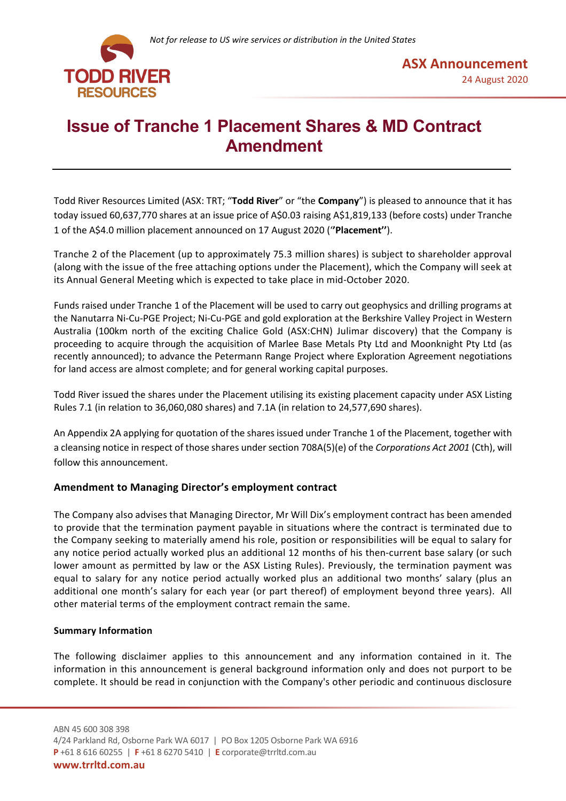



# **Issue of Tranche 1 Placement Shares & MD Contract Amendment**

Todd River Resources Limited (ASX: TRT; "**Todd River**" or "the **Company**") is pleased to announce that it has today issued 60,637,770 shares at an issue price of A\$0.03 raising A\$1,819,133 (before costs) under Tranche 1 of the A\$4.0 million placement announced on 17 August 2020 ('**'Placement''**).

Tranche 2 of the Placement (up to approximately 75.3 million shares) is subject to shareholder approval (along with the issue of the free attaching options under the Placement), which the Company will seek at its Annual General Meeting which is expected to take place in mid-October 2020.

Funds raised under Tranche 1 of the Placement will be used to carry out geophysics and drilling programs at the Nanutarra Ni-Cu-PGE Project; Ni-Cu-PGE and gold exploration at the Berkshire Valley Project in Western Australia (100km north of the exciting Chalice Gold (ASX:CHN) Julimar discovery) that the Company is proceeding to acquire through the acquisition of Marlee Base Metals Pty Ltd and Moonknight Pty Ltd (as recently announced); to advance the Petermann Range Project where Exploration Agreement negotiations for land access are almost complete; and for general working capital purposes.

Todd River issued the shares under the Placement utilising its existing placement capacity under ASX Listing Rules 7.1 (in relation to 36,060,080 shares) and 7.1A (in relation to 24,577,690 shares).

An Appendix 2A applying for quotation of the shares issued under Tranche 1 of the Placement, together with a cleansing notice in respect of those shares under section 708A(5)(e) of the *Corporations Act 2001* (Cth), will follow this announcement.

## **Amendment to Managing Director's employment contract**

The Company also advises that Managing Director, Mr Will Dix's employment contract has been amended to provide that the termination payment payable in situations where the contract is terminated due to the Company seeking to materially amend his role, position or responsibilities will be equal to salary for any notice period actually worked plus an additional 12 months of his then-current base salary (or such lower amount as permitted by law or the ASX Listing Rules). Previously, the termination payment was equal to salary for any notice period actually worked plus an additional two months' salary (plus an additional one month's salary for each year (or part thereof) of employment beyond three years). All other material terms of the employment contract remain the same.

## **Summary Information**

The following disclaimer applies to this announcement and any information contained in it. The information in this announcement is general background information only and does not purport to be complete. It should be read in conjunction with the Company's other periodic and continuous disclosure